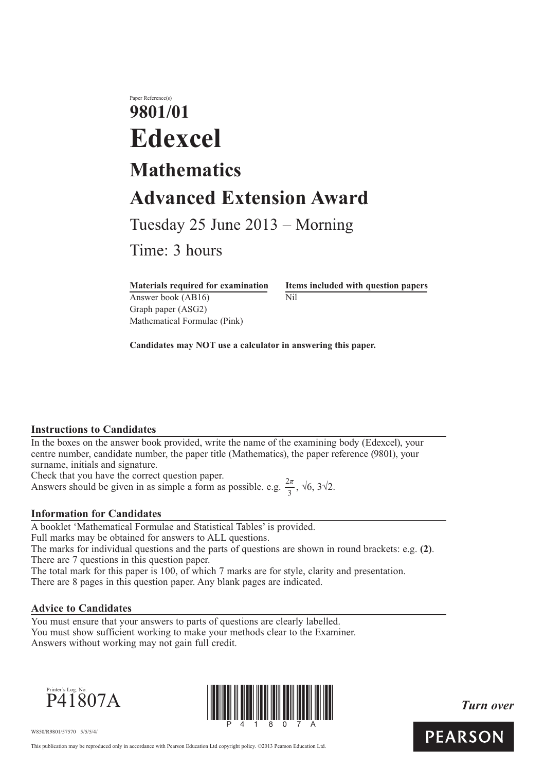# Paper Reference(s) **9801/01 Edexcel Mathematics Advanced Extension Award**

Tuesday 25 June 2013 – Morning

Time: 3 hours

Answer book (AB16) Nil Graph paper (ASG2) Mathematical Formulae (Pink)

**Materials required for examination Items included with question papers**

**Candidates may NOT use a calculator in answering this paper.**

## **Instructions to Candidates**

In the boxes on the answer book provided, write the name of the examining body (Edexcel), your centre number, candidate number, the paper title (Mathematics), the paper reference (9801), your surname, initials and signature.

Check that you have the correct question paper.

Answers should be given in as simple a form as possible. e.g.  $\frac{2\pi}{3}$ ,  $\sqrt{6}$ ,  $3\sqrt{2}$ .

## **Information for Candidates**

A booklet 'Mathematical Formulae and Statistical Tables' is provided. Full marks may be obtained for answers to ALL questions.

The marks for individual questions and the parts of questions are shown in round brackets: e.g. **(2)**. There are 7 questions in this question paper.

The total mark for this paper is 100, of which 7 marks are for style, clarity and presentation.

There are 8 pages in this question paper. Any blank pages are indicated.

## **Advice to Candidates**

You must ensure that your answers to parts of questions are clearly labelled. You must show sufficient working to make your methods clear to the Examiner. Answers without working may not gain full credit.





*Turn over*



W850/R9801/57570 5/5/5/4/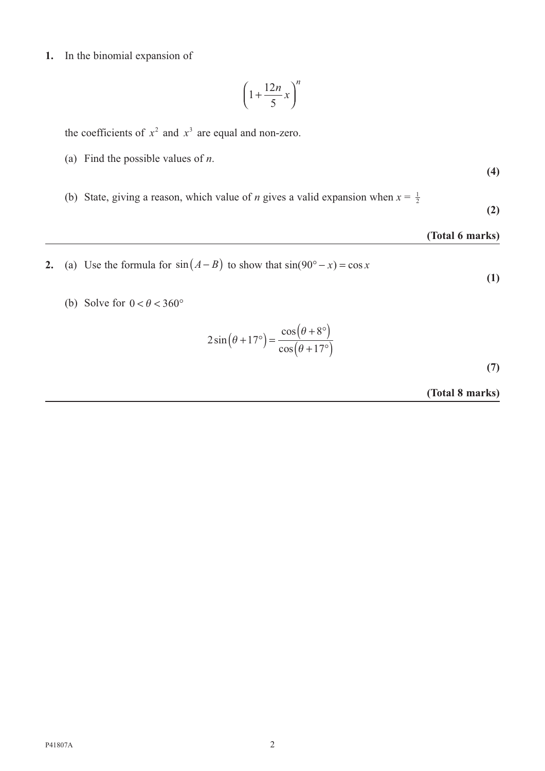**1.** In the binomial expansion of

$$
\left(1+\frac{12n}{5}x\right)^n
$$

the coefficients of  $x^2$  and  $x^3$  are equal and non-zero.

(a) Find the possible values of *n*.

(b) State, giving a reason, which value of *n* gives a valid expansion when  $x = \frac{1}{2}$ 

**(2)**

**(1)**

**(4)**

## **(Total 6 marks)**

- **2.** (a) Use the formula for  $sin(A B)$  to show that  $sin(90^\circ x) = cos x$ 
	- (b) Solve for  $0 < \theta < 360^{\circ}$

$$
2\sin\left(\theta + 17^{\circ}\right) = \frac{\cos\left(\theta + 8^{\circ}\right)}{\cos\left(\theta + 17^{\circ}\right)}
$$

**(7)**

**(Total 8 marks)**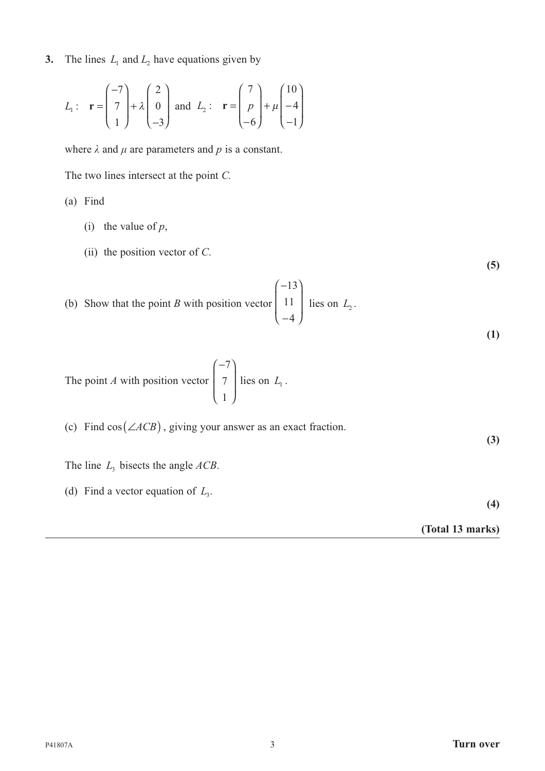**3.** The lines  $L_1$  and  $L_2$  have equations given by

$$
L_1: \mathbf{r} = \begin{pmatrix} -7 \\ 7 \\ 1 \end{pmatrix} + \lambda \begin{pmatrix} 2 \\ 0 \\ -3 \end{pmatrix} \text{ and } L_2: \mathbf{r} = \begin{pmatrix} 7 \\ p \\ -6 \end{pmatrix} + \mu \begin{pmatrix} 10 \\ -4 \\ -1 \end{pmatrix}
$$

where  $\lambda$  and  $\mu$  are parameters and  $p$  is a constant.

The two lines intersect at the point *C.*

(a) Find

- (i) the value of  $p$ ,
- (ii) the position vector of *C*.
- (b) Show that the point *B* with position vector − −  $\mathcal I$ ⎝  $\mathsf I$ ⎜  $\lambda$  $\overline{a}$ ⎟ ⎟ 13 11 4 lies on  $L_2$ .

The point *A* with position vector 
$$
\begin{pmatrix} -7 \\ 7 \\ 1 \end{pmatrix}
$$
 lies on  $L_1$ .

(c) Find  $cos(\angle ACB)$ , giving your answer as an exact fraction.

The line  $L_3$  bisects the angle  $ACB$ .

(d) Find a vector equation of  $L_3$ .

**(4)**

**(3)**

**(5)**

**(1)**

**(Total 13 marks)**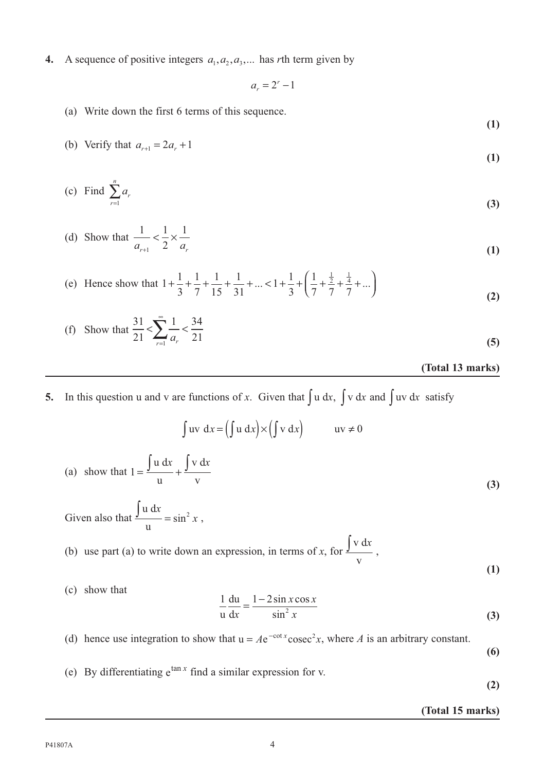**4.** A sequence of positive integers  $a_1, a_2, a_3, \dots$  has *r*th term given by

 $a_r = 2^r - 1$ 

(a) Write down the first 6 terms of this sequence.

**(1)**

(b) Verify that  $a_{r+1} = 2a_r + 1$ **(1)**

(c) Find 
$$
\sum_{r=1}^{n} a_r
$$
 (3)

(d) Show that 
$$
\frac{1}{a_{r+1}} < \frac{1}{2} \times \frac{1}{a_r} \tag{1}
$$

(e) Hence show that  $1 + \frac{1}{2}$ 3 1 7 1 15 1 31  $1 + \frac{1}{2}$ 3 1 777  $+\frac{1}{2}+\frac{1}{2}+\frac{1}{2}+\frac{1}{3}+\ldots < 1+\frac{1}{2}+\left(\frac{1}{2}+\frac{1}{2}+\frac{1}{3}+\frac{1}{4}\right)$  $\ldots < 1 + \frac{1}{3} + \left( \frac{1}{7} + \frac{1}{7} + \frac{1}{7} + \ldots \right)$ **(2)**

(f) Show that 
$$
\frac{31}{21} < \sum_{r=1}^{\infty} \frac{1}{a_r} < \frac{34}{21}
$$
 (5)

#### **(Total 13 marks)**

**5.** In this question u and v are functions of *x*. Given that  $\int u dx$ ,  $\int v dx$  and  $\int uv dx$  satisfy

$$
\int uv \, dx = (\int u \, dx) \times (\int v \, dx) \qquad uv \neq 0
$$
  
(a) show that  $1 = \frac{\int u \, dx}{u} + \frac{\int v \, dx}{v}$  (3)

Given also that u d u  $\int u \, dx$ <br>= sin<sup>2</sup> x,

(b) use part (a) to write down an expression, in terms of *x*, for  $\frac{\int v d}{\int v}$ v  $\int v dx$ , **(1)**

 $(c)$  show that

$$
\frac{1}{u}\frac{du}{dx} = \frac{1 - 2\sin x \cos x}{\sin^2 x}
$$
 (3)

- (d) hence use integration to show that  $u = Ae^{-\cot x}$  cosec<sup>2</sup>x, where *A* is an arbitrary constant.
	- (e) By differentiating  $e^{\tan x}$  find a similar expression for v.

**(2)**

**(6)**

#### **(Total 15 marks)**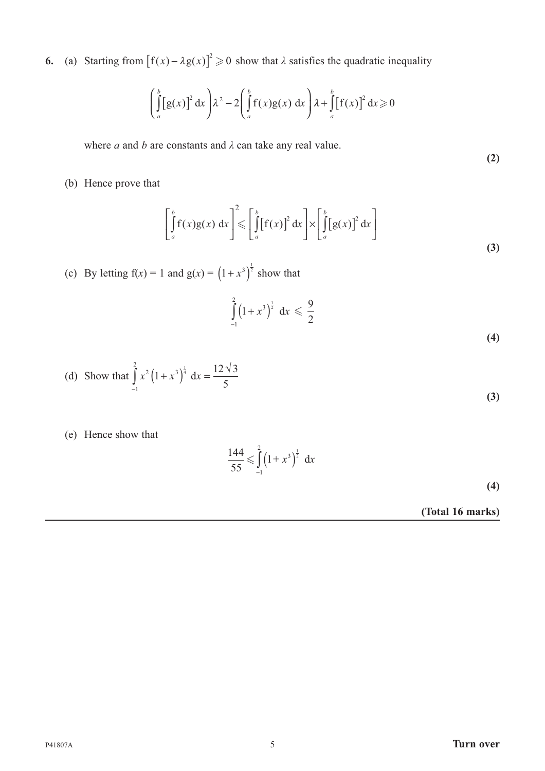**6.** (a) Starting from  $[f(x) - \lambda g(x)]^2 \ge 0$  show that  $\lambda$  satisfies the quadratic inequality

$$
\left(\int_a^b [g(x)]^2 dx\right) \lambda^2 - 2 \left(\int_a^b f(x)g(x) dx\right) \lambda + \int_a^b [f(x)]^2 dx \ge 0
$$

where *a* and *b* are constants and  $\lambda$  can take any real value.

(b) Hence prove that

$$
\left[\int_{a}^{b} f(x)g(x) dx\right]^2 \leqslant \left[\int_{a}^{b} \left[f(x)\right]^2 dx\right] \times \left[\int_{a}^{b} \left[g(x)\right]^2 dx\right]
$$
\n(3)

(c) By letting  $f(x) = 1$  and  $g(x) = (1 + x^3)^{\frac{1}{2}}$  show that

$$
\int_{-1}^{2} \left(1 + x^3\right)^{\frac{1}{2}} dx \leqslant \frac{9}{2}
$$
 (4)

(d) Show that 
$$
\int_{-1}^{2} x^2 (1+x^3)^{\frac{1}{4}} dx = \frac{12\sqrt{3}}{5}
$$
 (3)

(e) Hence show that

$$
\frac{144}{55} \leqslant \int_{-1}^{2} \left(1 + x^3\right)^{\frac{1}{2}} dx
$$

**(4)**

**(2)**

**(Total 16 marks)**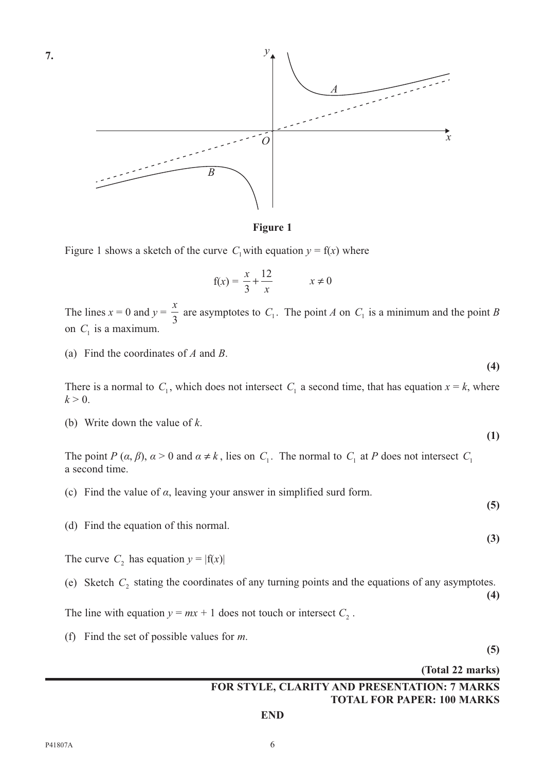



Figure 1 shows a sketch of the curve  $C_1$  with equation  $y = f(x)$  where

$$
f(x) = \frac{x}{3} + \frac{12}{x} \qquad x \neq 0
$$

The lines  $x = 0$  and  $y =$ *x*  $\frac{x}{3}$  are asymptotes to  $C_1$ . The point *A* on  $C_1$  is a minimum and the point *B* on  $C_1$  is a maximum.

(a) Find the coordinates of *A* and *B*.

There is a normal to  $C_1$ , which does not intersect  $C_1$  a second time, that has equation  $x = k$ , where  $k > 0$ .

(b) Write down the value of *k*.

The point *P*  $(\alpha, \beta), \alpha > 0$  and  $\alpha \neq k$ , lies on  $C_1$ . The normal to  $C_1$  at *P* does not intersect  $C_1$ a second time.

- (c) Find the value of  $\alpha$ , leaving your answer in simplified surd form.
- (d) Find the equation of this normal.

The curve  $C_2$  has equation  $y = |f(x)|$ 

(e) Sketch  $C_2$  stating the coordinates of any turning points and the equations of any asymptotes.

The line with equation  $y = mx + 1$  does not touch or intersect  $C_2$ .

(f) Find the set of possible values for *m*.

**(5)**

**(4)**

**(1)**

**(5)**

**(3)**

**(4)**

**(Total 22 marks)**

**FOR STYLE, CLARITY AND PRESENTATION: 7 MARKS TOTAL FOR PAPER: 100 MARKS**

**7.**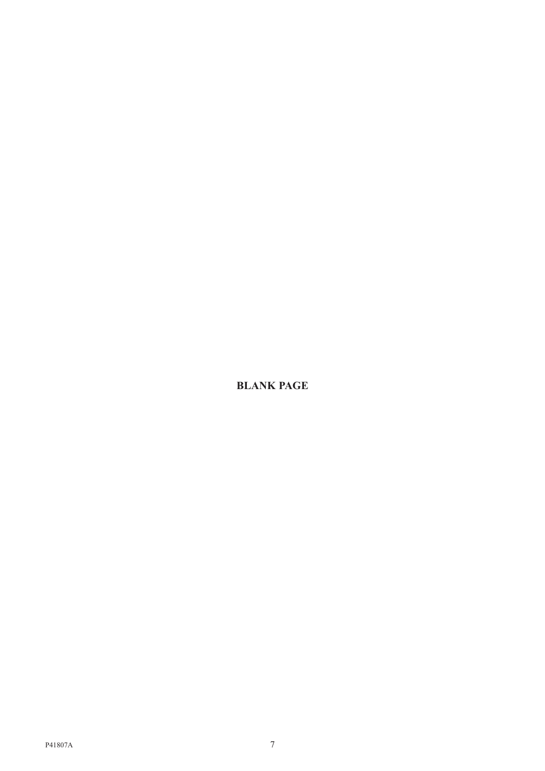**BLANK PAGE**